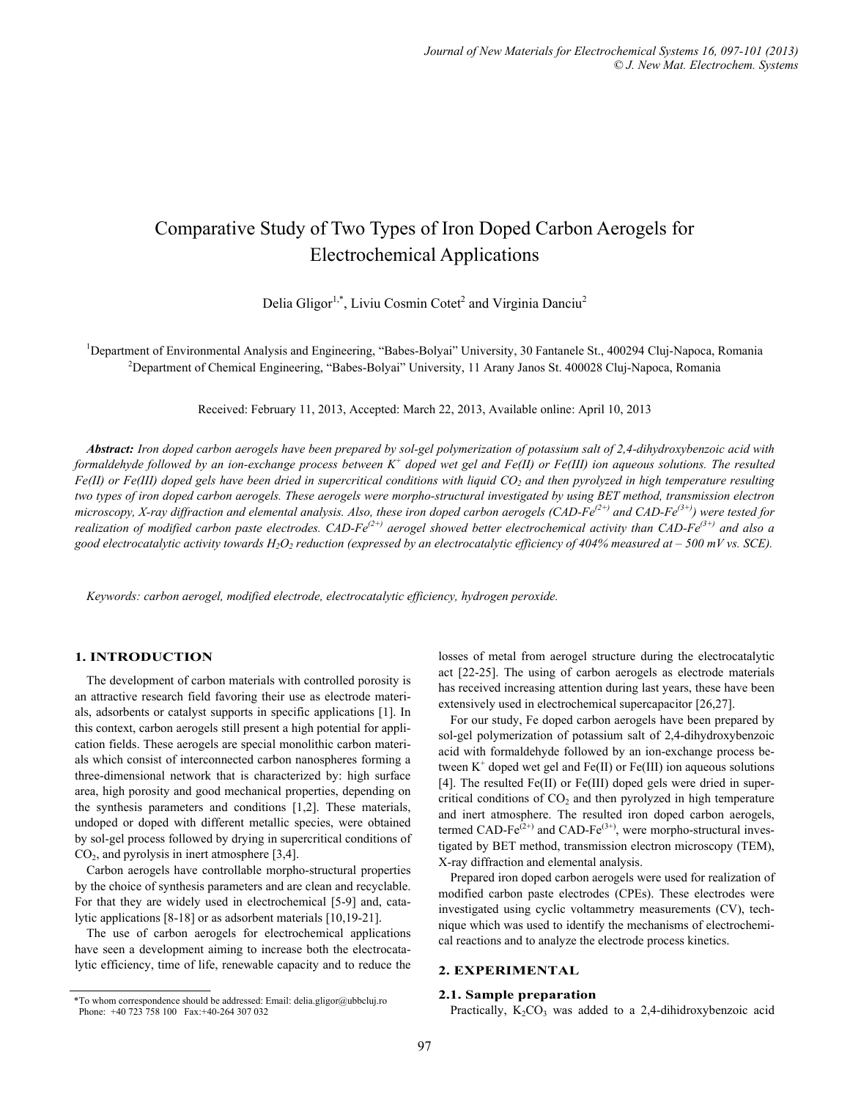# Comparative Study of Two Types of Iron Doped Carbon Aerogels for Electrochemical Applications

Delia Gligor<sup>1,\*</sup>, Liviu Cosmin Cotet<sup>2</sup> and Virginia Danciu<sup>2</sup>

<sup>1</sup>Department of Environmental Analysis and Engineering, "Babes-Bolyai" University, 30 Fantanele St., 400294 Cluj-Napoca, Romania <sup>2</sup>Department of Chemical Engineering, "Babes-Bolyai" University, 11 Arony Janes St. 400028 <sup>2</sup>Department of Chemical Engineering, "Babes-Bolyai" University, 11 Arany Janos St. 400028 Cluj-Napoca, Romania

Received: February 11, 2013, Accepted: March 22, 2013, Available online: April 10, 2013

*Abstract: Iron doped carbon aerogels have been prepared by sol-gel polymerization of potassium salt of 2,4-dihydroxybenzoic acid with*  formaldehyde followed by an ion-exchange process between K<sup>+</sup> doped wet gel and Fe(II) or Fe(III) ion aqueous solutions. The resulted *Fe(II) or Fe(III) doped gels have been dried in supercritical conditions with liquid CO2 and then pyrolyzed in high temperature resulting two types of iron doped carbon aerogels. These aerogels were morpho-structural investigated by using BET method, transmission electron microscopy, X-ray diffraction and elemental analysis. Also, these iron doped carbon aerogels (CAD-Fe<sup>(2+)</sup> and CAD-Fe<sup>(3+)</sup>) were tested for realization of modified carbon paste electrodes. CAD-Fe*<sup> $(2+)$ </sup> aerogel showed better electrochemical activity than CAD-Fe<sup> $(3+)$ </sup> and also a good electrocatalytic activity towards  $H_2O_2$  reduction (expressed by an electrocatalytic efficiency of 404% measured at  $-500$  mV vs. SCE).

*Keywords: carbon aerogel, modified electrode, electrocatalytic efficiency, hydrogen peroxide.* 

## **1. INTRODUCTION**

The development of carbon materials with controlled porosity is an attractive research field favoring their use as electrode materials, adsorbents or catalyst supports in specific applications [1]. In this context, carbon aerogels still present a high potential for application fields. These aerogels are special monolithic carbon materials which consist of interconnected carbon nanospheres forming a three-dimensional network that is characterized by: high surface area, high porosity and good mechanical properties, depending on the synthesis parameters and conditions [1,2]. These materials, undoped or doped with different metallic species, were obtained by sol-gel process followed by drying in supercritical conditions of CO2, and pyrolysis in inert atmosphere [3,4].

Carbon aerogels have controllable morpho-structural properties by the choice of synthesis parameters and are clean and recyclable. For that they are widely used in electrochemical [5-9] and, catalytic applications [8-18] or as adsorbent materials [10,19-21].

The use of carbon aerogels for electrochemical applications have seen a development aiming to increase both the electrocatalytic efficiency, time of life, renewable capacity and to reduce the losses of metal from aerogel structure during the electrocatalytic act [22-25]. The using of carbon aerogels as electrode materials has received increasing attention during last years, these have been extensively used in electrochemical supercapacitor [26,27].

For our study, Fe doped carbon aerogels have been prepared by sol-gel polymerization of potassium salt of 2,4-dihydroxybenzoic acid with formaldehyde followed by an ion-exchange process between  $K^+$  doped wet gel and  $Fe(II)$  or  $Fe(III)$  ion aqueous solutions [4]. The resulted Fe(II) or Fe(III) doped gels were dried in supercritical conditions of  $CO<sub>2</sub>$  and then pyrolyzed in high temperature and inert atmosphere. The resulted iron doped carbon aerogels, termed CAD-Fe $^{(2+)}$  and CAD-Fe $^{(3+)}$ , were morpho-structural investigated by BET method, transmission electron microscopy (TEM), X-ray diffraction and elemental analysis.

Prepared iron doped carbon aerogels were used for realization of modified carbon paste electrodes (CPEs). These electrodes were investigated using cyclic voltammetry measurements (CV), technique which was used to identify the mechanisms of electrochemical reactions and to analyze the electrode process kinetics.

# **2. EXPERIMENTAL**

#### **2.1. Sample preparation**

Fractically, K<sub>2</sub>CO<sub>3</sub> was added to a 2,4-dihidroxybenzoic acid<br>Phone: +40 723 758 100 Fax:+40-264 307 032<br>Practically, K<sub>2</sub>CO<sub>3</sub> was added to a 2,4-dihidroxybenzoic acid Phone: +40 723 758 100 Fax:+40-264 307 032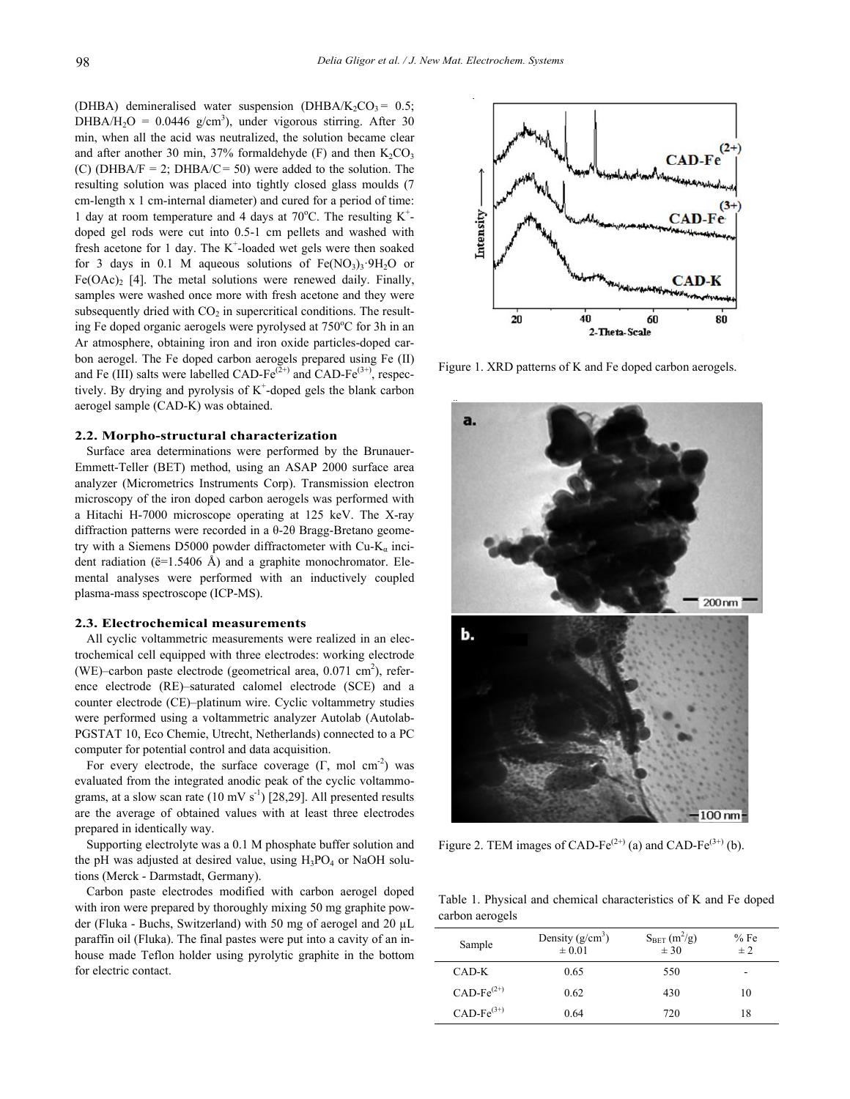(DHBA) demineralised water suspension (DHBA/K<sub>2</sub>CO<sub>3</sub> =  $0.5$ ; DHBA/H<sub>2</sub>O = 0.0446 g/cm<sup>3</sup>), under vigorous stirring. After 30 min, when all the acid was neutralized, the solution became clear and after another 30 min, 37% formaldehyde (F) and then  $K_2CO_3$ (C) (DHBA/F = 2; DHBA/C = 50) were added to the solution. The resulting solution was placed into tightly closed glass moulds (7 cm-length x 1 cm-internal diameter) and cured for a period of time: 1 day at room temperature and 4 days at  $70^{\circ}$ C. The resulting K<sup>+</sup>doped gel rods were cut into 0.5-1 cm pellets and washed with fresh acetone for 1 day. The  $K^+$ -loaded wet gels were then soaked for 3 days in 0.1 M aqueous solutions of  $Fe(NO<sub>3</sub>)<sub>3</sub>·9H<sub>2</sub>O$  or  $Fe(OAc)$ <sub>2</sub> [4]. The metal solutions were renewed daily. Finally, samples were washed once more with fresh acetone and they were subsequently dried with  $CO<sub>2</sub>$  in supercritical conditions. The resulting Fe doped organic aerogels were pyrolysed at 750°C for 3h in an Ar atmosphere, obtaining iron and iron oxide particles-doped carbon aerogel. The Fe doped carbon aerogels prepared using Fe (II) and Fe (III) salts were labelled CAD-Fe<sup>(2+)</sup> and CAD-Fe<sup>(3+)</sup>, respectively. By drying and pyrolysis of  $K^+$ -doped gels the blank carbon aerogel sample (CAD-K) was obtained.

## **2.2. Morpho-structural characterization**

Surface area determinations were performed by the Brunauer-Emmett-Teller (BET) method, using an ASAP 2000 surface area analyzer (Micrometrics Instruments Corp). Transmission electron microscopy of the iron doped carbon aerogels was performed with a Hitachi H-7000 microscope operating at 125 keV. The X-ray diffraction patterns were recorded in a θ-2θ Bragg-Bretano geometry with a Siemens D5000 powder diffractometer with Cu-K<sub>a</sub> incident radiation ( $\ddot{e}$ =1.5406 Å) and a graphite monochromator. Elemental analyses were performed with an inductively coupled plasma-mass spectroscope (ICP-MS).

#### **2.3. Electrochemical measurements**

All cyclic voltammetric measurements were realized in an electrochemical cell equipped with three electrodes: working electrode (WE)–carbon paste electrode (geometrical area,  $0.071 \text{ cm}^2$ ), reference electrode (RE)–saturated calomel electrode (SCE) and a counter electrode (CE)–platinum wire. Cyclic voltammetry studies were performed using a voltammetric analyzer Autolab (Autolab-PGSTAT 10, Eco Chemie, Utrecht, Netherlands) connected to a PC computer for potential control and data acquisition.

For every electrode, the surface coverage  $(\Gamma, \text{ mol cm}^2)$  was evaluated from the integrated anodic peak of the cyclic voltammograms, at a slow scan rate  $(10 \text{ mV s}^{-1})$  [28,29]. All presented results are the average of obtained values with at least three electrodes prepared in identically way.

Supporting electrolyte was a 0.1 M phosphate buffer solution and the pH was adjusted at desired value, using  $H_3PO_4$  or NaOH solutions (Merck - Darmstadt, Germany).

Carbon paste electrodes modified with carbon aerogel doped with iron were prepared by thoroughly mixing 50 mg graphite powder (Fluka - Buchs, Switzerland) with 50 mg of aerogel and 20 µL paraffin oil (Fluka). The final pastes were put into a cavity of an inhouse made Teflon holder using pyrolytic graphite in the bottom for electric contact.



Figure 1. XRD patterns of K and Fe doped carbon aerogels.



Figure 2. TEM images of CAD-Fe<sup>(2+)</sup> (a) and CAD-Fe<sup>(3+)</sup> (b).

Table 1. Physical and chemical characteristics of K and Fe doped carbon aerogels

| Sample          | Density $(g/cm^3)$<br>$\pm 0.01$ | S <sub>BET</sub> (m <sup>2</sup> /g)<br>$\pm$ 30 | %Fe<br>± 2 |
|-----------------|----------------------------------|--------------------------------------------------|------------|
| CAD-K           | 0.65                             | 550                                              | -          |
| $CAD-Fe^{(2+)}$ | 0.62                             | 430                                              | 10         |
| $CAD-Fe^{(3+)}$ | 0.64                             | 720                                              | 18         |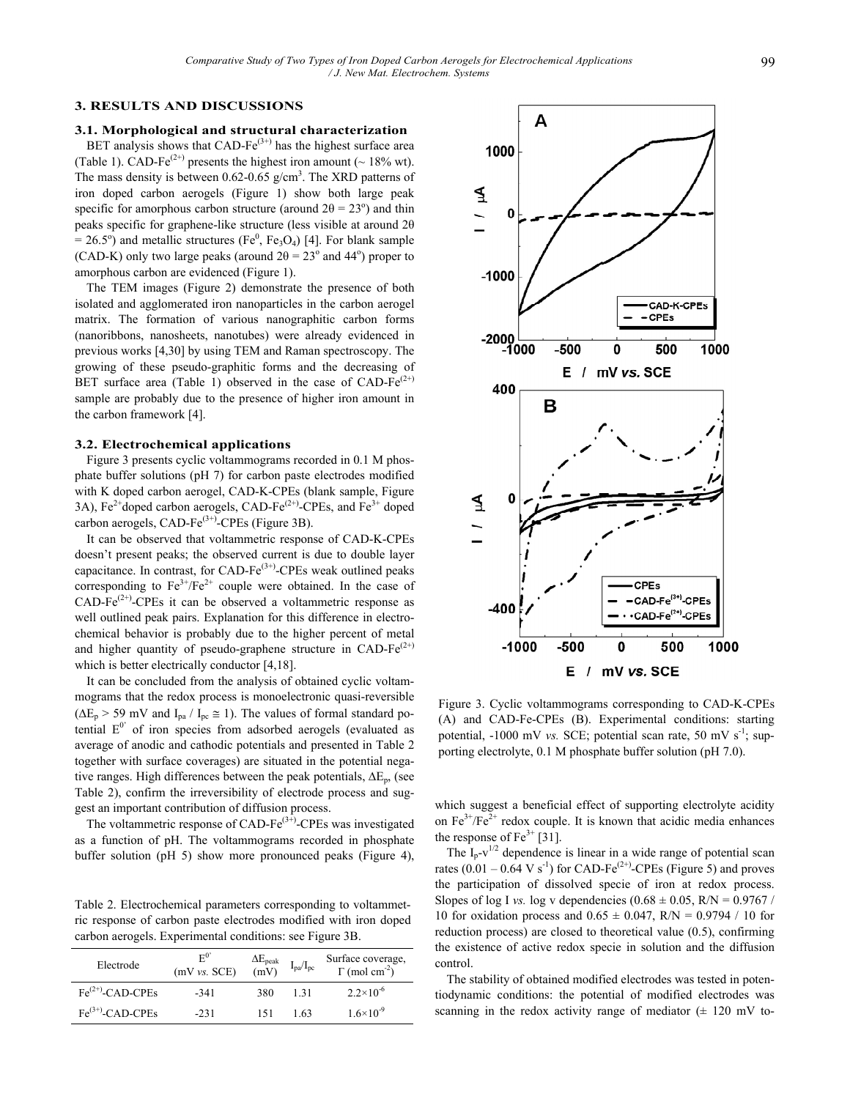# **3. RESULTS AND DISCUSSIONS**

#### **3.1. Morphological and structural characterization**

BET analysis shows that CAD-Fe $^{(3+)}$  has the highest surface area (Table 1). CAD-Fe<sup>(2+)</sup> presents the highest iron amount ( $\sim$  18% wt). The mass density is between  $0.62$ - $0.65$  g/cm<sup>3</sup>. The XRD patterns of iron doped carbon aerogels (Figure 1) show both large peak specific for amorphous carbon structure (around  $2\theta = 23^{\circ}$ ) and thin peaks specific for graphene-like structure (less visible at around 2θ  $= 26.5^{\circ}$ ) and metallic structures (Fe<sup>0</sup>, Fe<sub>3</sub>O<sub>4</sub>) [4]. For blank sample (CAD-K) only two large peaks (around  $2\theta = 23^\circ$  and  $44^\circ$ ) proper to amorphous carbon are evidenced (Figure 1).

The TEM images (Figure 2) demonstrate the presence of both isolated and agglomerated iron nanoparticles in the carbon aerogel matrix. The formation of various nanographitic carbon forms (nanoribbons, nanosheets, nanotubes) were already evidenced in previous works [4,30] by using TEM and Raman spectroscopy. The growing of these pseudo-graphitic forms and the decreasing of BET surface area (Table 1) observed in the case of CAD-Fe $(2+)$ sample are probably due to the presence of higher iron amount in the carbon framework [4].

## **3.2. Electrochemical applications**

Figure 3 presents cyclic voltammograms recorded in 0.1 M phosphate buffer solutions (pH 7) for carbon paste electrodes modified with K doped carbon aerogel, CAD-K-CPEs (blank sample, Figure 3A),  $Fe^{2+}$ doped carbon aerogels, CAD-Fe<sup> $(2+)$ </sup>-CPEs, and Fe<sup>3+</sup> doped carbon aerogels, CAD-Fe $^{(3+)}$ -CPEs (Figure 3B).

It can be observed that voltammetric response of CAD-K-CPEs doesn't present peaks; the observed current is due to double layer capacitance. In contrast, for CAD-Fe $^{(3+)}$ -CPEs weak outlined peaks corresponding to  $Fe^{3+}/Fe^{2+}$  couple were obtained. In the case of CAD-Fe $^{(2+)}$ -CPEs it can be observed a voltammetric response as well outlined peak pairs. Explanation for this difference in electrochemical behavior is probably due to the higher percent of metal and higher quantity of pseudo-graphene structure in CAD-Fe $(2+)$ which is better electrically conductor [4,18].

It can be concluded from the analysis of obtained cyclic voltammograms that the redox process is monoelectronic quasi-reversible  $(\Delta E_p > 59 \text{ mV}$  and  $I_{pa} / I_{pc} \approx 1$ ). The values of formal standard potential  $E^{0'}$  of iron species from adsorbed aerogels (evaluated as average of anodic and cathodic potentials and presented in Table 2 together with surface coverages) are situated in the potential negative ranges. High differences between the peak potentials,  $\Delta E_p$ , (see Table 2), confirm the irreversibility of electrode process and suggest an important contribution of diffusion process.

The voltammetric response of CAD-Fe $(3+)$ -CPEs was investigated as a function of pH. The voltammograms recorded in phosphate buffer solution (pH 5) show more pronounced peaks (Figure 4),

Table 2. Electrochemical parameters corresponding to voltammetric response of carbon paste electrodes modified with iron doped carbon aerogels. Experimental conditions: see Figure 3B.

| Electrode             | $E^{0'}$<br>(mV vs. SCE) | $\Delta E_{\rm peak} \ \mathrm{(mV)}$ | $\rm I_{pa}/I_{pc}$ | Surface coverage,<br>$\Gamma$ (mol cm <sup>-2</sup> ) |
|-----------------------|--------------------------|---------------------------------------|---------------------|-------------------------------------------------------|
| $Fe^{(2+)}$ -CAD-CPEs | $-341$                   | 380                                   | 131                 | $2.2 \times 10^{-6}$                                  |
| $Fe^{(3+)}$ -CAD-CPEs | $-231$                   | 151                                   | 1.63                | $1.6 \times 10^{-9}$                                  |



Figure 3. Cyclic voltammograms corresponding to CAD-K-CPEs (A) and CAD-Fe-CPEs (B). Experimental conditions: starting potential,  $-1000$  mV *vs.* SCE; potential scan rate, 50 mV  $s^{-1}$ ; supporting electrolyte, 0.1 M phosphate buffer solution (pH 7.0).

which suggest a beneficial effect of supporting electrolyte acidity on  $Fe^{3+}/Fe^{2+}$  redox couple. It is known that acidic media enhances the response of  $Fe^{3+}$  [31].

The  $I_p-v^{1/2}$  dependence is linear in a wide range of potential scan rates  $(0.01 - 0.64 \text{ V s}^{-1})$  for CAD-Fe<sup>(2+)</sup>-CPEs (Figure 5) and proves the participation of dissolved specie of iron at redox process. Slopes of log I *vs.* log v dependencies  $(0.68 \pm 0.05, R/N = 0.9767$  / 10 for oxidation process and  $0.65 \pm 0.047$ , R/N = 0.9794 / 10 for reduction process) are closed to theoretical value (0.5), confirming the existence of active redox specie in solution and the diffusion control.

The stability of obtained modified electrodes was tested in potentiodynamic conditions: the potential of modified electrodes was scanning in the redox activity range of mediator  $(\pm 120 \text{ mV})$  to-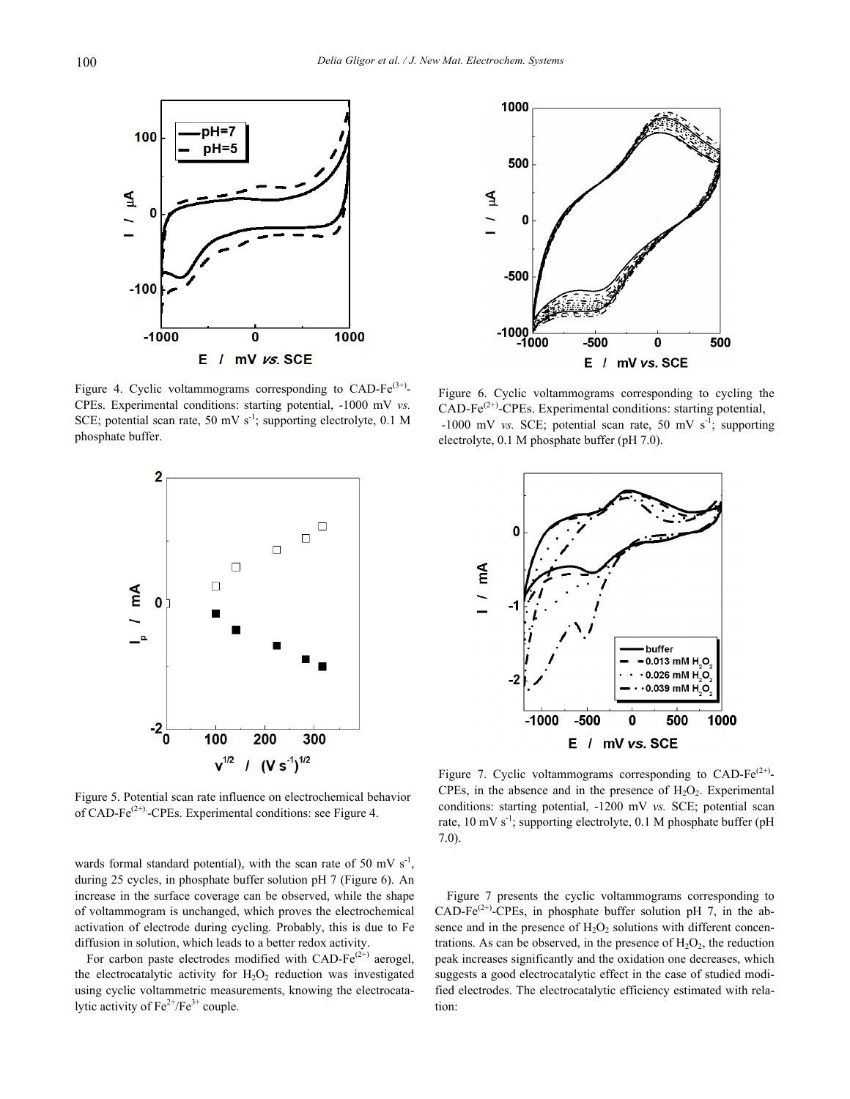

Figure 4. Cyclic voltammograms corresponding to CAD-Fe $(3+)$ -CPEs. Experimental conditions: starting potential, -1000 mV *vs.* SCE; potential scan rate, 50 mV  $s^{-1}$ ; supporting electrolyte, 0.1 M phosphate buffer.



Figure 5. Potential scan rate influence on electrochemical behavior of CAD-Fe<sup>(2+)</sup>-CPEs. Experimental conditions: see Figure 4.

wards formal standard potential), with the scan rate of 50 mV  $s^{-1}$ , during 25 cycles, in phosphate buffer solution pH 7 (Figure 6). An increase in the surface coverage can be observed, while the shape of voltammogram is unchanged, which proves the electrochemical activation of electrode during cycling. Probably, this is due to Fe diffusion in solution, which leads to a better redox activity.

For carbon paste electrodes modified with CAD-Fe $(2^{+})$  aerogel, the electrocatalytic activity for  $H_2O_2$  reduction was investigated using cyclic voltammetric measurements, knowing the electrocatalytic activity of  $Fe^{2+}/Fe^{3+}$  couple.



Figure 6. Cyclic voltammograms corresponding to cycling the  $CAD\text{-Fe}^{(2+)}\text{-}CPEs.$  Experimental conditions: starting potential,  $-1000$  mV *vs.* SCE; potential scan rate, 50 mV s<sup>-1</sup>; supporting electrolyte, 0.1 M phosphate buffer (pH 7.0).



Figure 7. Cyclic voltammograms corresponding to CAD-Fe<sup> $(2+)$ </sup>-CPEs, in the absence and in the presence of  $H_2O_2$ . Experimental conditions: starting potential, -1200 mV *vs.* SCE; potential scan rate, 10 mV  $s^{-1}$ ; supporting electrolyte, 0.1 M phosphate buffer (pH 7.0).

Figure 7 presents the cyclic voltammograms corresponding to CAD-Fe<sup>(2+)</sup>-CPEs, in phosphate buffer solution pH 7, in the absence and in the presence of  $H_2O_2$  solutions with different concentrations. As can be observed, in the presence of  $H_2O_2$ , the reduction peak increases significantly and the oxidation one decreases, which suggests a good electrocatalytic effect in the case of studied modified electrodes. The electrocatalytic efficiency estimated with relation: